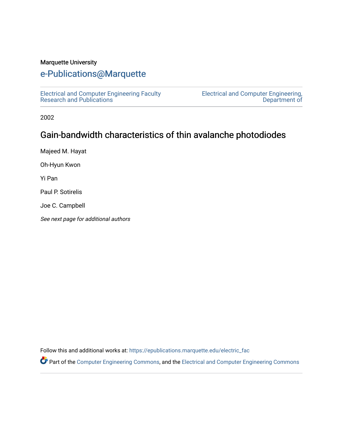#### Marquette University

# [e-Publications@Marquette](https://epublications.marquette.edu/)

[Electrical and Computer Engineering Faculty](https://epublications.marquette.edu/electric_fac) [Research and Publications](https://epublications.marquette.edu/electric_fac) 

[Electrical and Computer Engineering,](https://epublications.marquette.edu/electric)  [Department of](https://epublications.marquette.edu/electric) 

2002

# Gain-bandwidth characteristics of thin avalanche photodiodes

Majeed M. Hayat Oh-Hyun Kwon Yi Pan Paul P. Sotirelis Joe C. Campbell See next page for additional authors

Follow this and additional works at: [https://epublications.marquette.edu/electric\\_fac](https://epublications.marquette.edu/electric_fac?utm_source=epublications.marquette.edu%2Felectric_fac%2F525&utm_medium=PDF&utm_campaign=PDFCoverPages) 

Part of the [Computer Engineering Commons,](http://network.bepress.com/hgg/discipline/258?utm_source=epublications.marquette.edu%2Felectric_fac%2F525&utm_medium=PDF&utm_campaign=PDFCoverPages) and the [Electrical and Computer Engineering Commons](http://network.bepress.com/hgg/discipline/266?utm_source=epublications.marquette.edu%2Felectric_fac%2F525&utm_medium=PDF&utm_campaign=PDFCoverPages)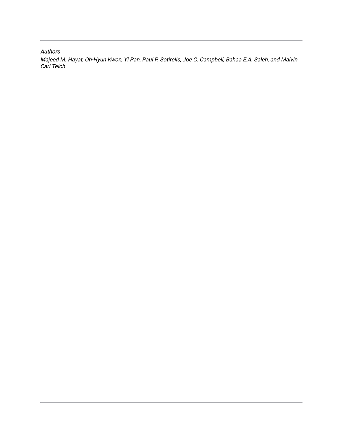#### Authors

Majeed M. Hayat, Oh-Hyun Kwon, Yi Pan, Paul P. Sotirelis, Joe C. Campbell, Bahaa E.A. Saleh, and Malvin Carl Teich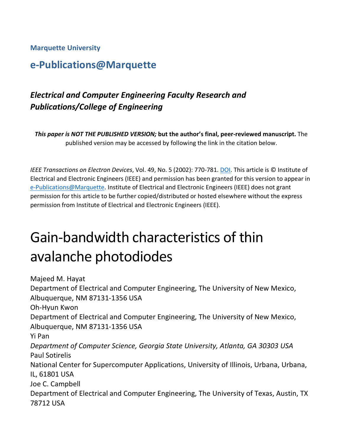## **Marquette University**

# **e-Publications@Marquette**

# *Electrical and Computer Engineering Faculty Research and Publications/College of Engineering*

*This paper is NOT THE PUBLISHED VERSION;* **but the author's final, peer-reviewed manuscript.** The published version may be accessed by following the link in the citation below.

*IEEE Transactions on Electron Devices*, Vol. 49, No. 5 (2002): 770-781. [DOI.](https://dx.doi.org/10.1109/16.998583) This article is © Institute of Electrical and Electronic Engineers (IEEE) and permission has been granted for this version to appear in [e-Publications@Marquette.](http://epublications.marquette.edu/) Institute of Electrical and Electronic Engineers (IEEE) does not grant permission for this article to be further copied/distributed or hosted elsewhere without the express permission from Institute of Electrical and Electronic Engineers (IEEE).

# Gain-bandwidth characteristics of thin avalanche photodiodes

Majeed M. Hayat Department of Electrical and Computer Engineering, The University of New Mexico, Albuquerque, NM 87131-1356 USA Oh-Hyun Kwon Department of Electrical and Computer Engineering, The University of New Mexico, Albuquerque, NM 87131-1356 USA Yi Pan *Department of Computer Science, Georgia State University, Atlanta, GA 30303 USA* Paul Sotirelis National Center for Supercomputer Applications, University of Illinois, Urbana, Urbana, IL, 61801 USA Joe C. Campbell Department of Electrical and Computer Engineering, The University of Texas, Austin, TX 78712 USA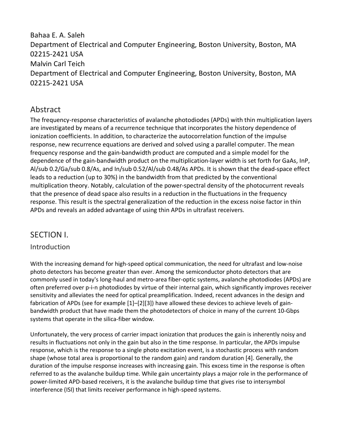Bahaa E. A. Saleh Department of Electrical and Computer Engineering, Boston University, Boston, MA 02215-2421 USA Malvin Carl Teich Department of Electrical and Computer Engineering, Boston University, Boston, MA 02215-2421 USA

# Abstract

The frequency-response characteristics of avalanche photodiodes (APDs) with thin multiplication layers are investigated by means of a recurrence technique that incorporates the history dependence of ionization coefficients. In addition, to characterize the autocorrelation function of the impulse response, new recurrence equations are derived and solved using a parallel computer. The mean frequency response and the gain-bandwidth product are computed and a simple model for the dependence of the gain-bandwidth product on the multiplication-layer width is set forth for GaAs, InP, Al/sub 0.2/Ga/sub 0.8/As, and In/sub 0.52/Al/sub 0.48/As APDs. It is shown that the dead-space effect leads to a reduction (up to 30%) in the bandwidth from that predicted by the conventional multiplication theory. Notably, calculation of the power-spectral density of the photocurrent reveals that the presence of dead space also results in a reduction in the fluctuations in the frequency response. This result is the spectral generalization of the reduction in the excess noise factor in thin APDs and reveals an added advantage of using thin APDs in ultrafast receivers.

# SECTION I.

# Introduction

With the increasing demand for high-speed optical communication, the need for ultrafast and low-noise photo detectors has become greater than ever. Among the semiconductor photo detectors that are commonly used in today's long-haul and metro-area fiber-optic systems, avalanche photodiodes (APDs) are often preferred over p-i-n photodiodes by virtue of their internal gain, which significantly improves receiver sensitivity and alleviates the need for optical preamplification. Indeed, recent advances in the design and fabrication of APDs (see for example [1]–[2][3]) have allowed these devices to achieve levels of gainbandwidth product that have made them the photodetectors of choice in many of the current 10-Gbps systems that operate in the silica-fiber window.

Unfortunately, the very process of carrier impact ionization that produces the gain is inherently noisy and results in fluctuations not only in the gain but also in the time response. In particular, the APDs impulse response, which is the response to a single photo excitation event, is a stochastic process with random shape (whose total area is proportional to the random gain) and random duration [4]. Generally, the duration of the impulse response increases with increasing gain. This excess time in the response is often referred to as the avalanche buildup time. While gain uncertainty plays a major role in the performance of power-limited APD-based receivers, it is the avalanche buildup time that gives rise to intersymbol interference (ISI) that limits receiver performance in high-speed systems.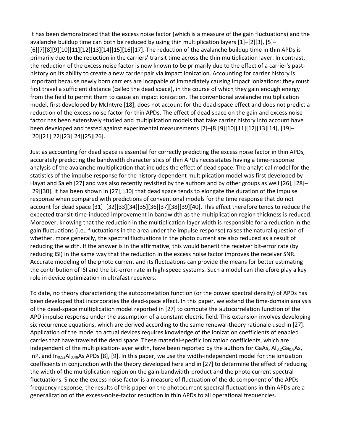It has been demonstrated that the excess noise factor (which is a measure of the gain fluctuations) and the avalanche buildup time can both be reduced by using thin multiplication layers [1]–[2][3], [5]–  $[6][7][8][9][10][11][12][13][14][15][16][17]$ . The reduction of the avalanche buildup time in thin APDs is primarily due to the reduction in the carriers' transit time across the thin multiplication layer. In contrast, the reduction of the excess noise factor is now known to be primarily due to the effect of a carrier's pasthistory on its ability to create a new carrier pair via impact ionization. Accounting for carrier history is important because newly born carriers are incapable of immediately causing impact ionizations: they must first travel a sufficient distance (called the dead space), in the course of which they gain enough energy from the field to permit them to cause an impact ionization. The conventional avalanche multiplication model, first developed by McIntyre [18], does not account for the dead-space effect and does not predict a reduction of the excess noise factor for thin APDs. The effect of dead space on the gain and excess noise factor has been extensively studied and multiplication models that take carrier history into account have been developed and tested against experimental measurements [7]–[8][9][10][11][12][13][14], [19]– [20][21][22][23][24][25][26].

Just as accounting for dead space is essential for correctly predicting the excess noise factor in thin APDs, accurately predicting the bandwidth characteristics of thin APDs necessitates having a time-response analysis of the avalanche multiplication that includes the effect of dead space. The analytical model for the statistics of the impulse response for the history-dependent multiplication model was first developed by Hayat and Saleh [27] and was also recently revisited by the authors and by other groups as well [26], [28]– [29][30]. It has been shown in [27], [30] that dead space tends to elongate the duration of the impulse response when compared with predictions of conventional models for the time response that do not account for dead space [31]–[32][33][34][35][36][37][38][39][40]. This effect therefore tends to reduce the expected transit-time-induced improvement in bandwidth as the multiplication region thickness is reduced. Moreover, knowing that the reduction in the multiplication-layer width is responsible for a reduction in the gain fluctuations (i.e., fluctuations in the area under the impulse response) raises the natural question of whether, more generally, the spectral fluctuations in the photo current are also reduced as a result of reducing the width. If the answer is in the affirmative, this would benefit the receiver bit-error rate (by reducing ISI) in the same way that the reduction in the excess noise factor improves the receiver SNR. Accurate modeling of the photo current and its fluctuations can provide the means for better estimating the contribution of ISI and the bit-error rate in high-speed systems. Such a model can therefore play a key role in device optimization in ultrafast receivers.

To date, no theory characterizing the autocorrelation function (or the power spectral density) of APDs has been developed that incorporates the dead-space effect. In this paper, we extend the time-domain analysis of the dead-space multiplication model reported in [27] to compute the autocorrelation function of the APD impulse response under the assumption of a constant electric field. This extension involves developing six recurrence equations, which are derived according to the same renewal-theory rationale used in [27]. Application of the model to actual devices requires knowledge of the ionization coefficients of enabled carries that have traveled the dead space. These material-specific ionization coefficients, which are independent of the multiplication-layer width, have been reported by the authors for GaAs,  $Al_{0.2}Ga_{0.8}As$ , InP, and In<sub>0.52</sub>Al<sub>0.48</sub>As APDs [8], [9]. In this paper, we use the width-independent model for the ionization coefficients in conjunction with the theory developed here and in [27] to determine the effect of reducing the width of the multiplication region on the gain-bandwidth-product and the photo current spectral fluctuations. Since the excess noise factor is a measure of fluctuation of the dc component of the APDs frequency response, the results of this paper on the photocurrent spectral fluctuations in thin APDs are a generalization of the excess-noise-factor reduction in thin APDs to all operational frequencies.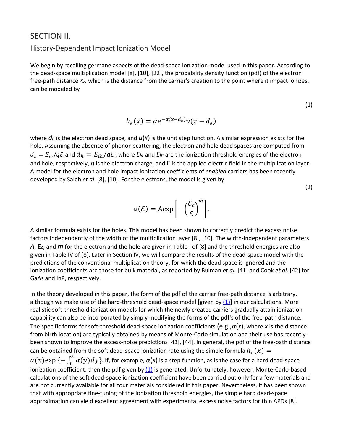#### SECTION II.

#### History-Dependent Impact Ionization Model

We begin by recalling germane aspects of the dead-space ionization model used in this paper. According to the dead-space multiplication model [8], [10], [22], the probability density function (pdf) of the electron free-path distance *Xe,* which is the distance from the carrier's creation to the point where it impact ionizes, can be modeled by

$$
h_e(x) = \alpha e^{-\alpha(x - d_e)} u(x - d_e)
$$

where *de* is the electron dead space, and *u*(*x*) is the unit step function. A similar expression exists for the hole. Assuming the absence of phonon scattering, the electron and hole dead spaces are computed from  $d_e = E_{ie}/qE$  and  $d_h = E_{ih}/qE$ , where *Eie* and *Eih* are the ionization threshold energies of the electron and hole, respectively, *q* is the electron charge, and E is the applied electric field in the multiplication layer. A model for the electron and hole impact ionization coefficients of *enabled* carriers has been recently developed by Saleh *et al.* [8], [10]. For the electrons, the model is given by

(2)

(1)

$$
\alpha(\mathcal{E}) = \text{Aexp}\left[-\left(\frac{\mathcal{E}_c}{\mathcal{E}}\right)^m\right].
$$

A similar formula exists for the holes. This model has been shown to correctly predict the excess noise factors independently of the width of the multiplication layer [8], [10]. The width-independent parameters *A*, E*c*, and *m* for the electron and the hole are given in Table I of [8] and the threshold energies are also given in Table IV of [8]. Later in Section IV, we will compare the results of the dead-space model with the predictions of the conventional multiplication theory, for which the dead space is ignored and the ionization coefficients are those for bulk material, as reported by Bulman *et al.* [41] and Cook *et al.* [42] for GaAs and InP, respectively.

In the theory developed in this paper, the form of the pdf of the carrier free-path distance is arbitrary, although we make use of the hard-threshold dead-space model [given by  $(1)$ ] in our calculations. More realistic soft-threshold ionization models for which the newly created carriers gradually attain ionization capability can also be incorporated by simply modifying the forms of the pdf's of the free-path distance. The specific forms for soft-threshold dead-space ionization coefficients (e.g.,*α*(*x*), where *x* is the distance from birth location) are typically obtained by means of Monte-Carlo simulation and their use has recently been shown to improve the excess-noise predictions [43], [44]. In general, the pdf of the free-path distance can be obtained from the soft dead-space ionization rate using the simple formula  $h_e(x) =$  $\alpha(x)$ exp { $-\int_0^x \alpha(y)dy$ }. If, for example,  $\alpha(x)$  is a step function, as is the case for a hard dead-space ionization coefficient, then the pdf given by  $(1)$  is generated. Unfortunately, however, Monte-Carlo-based calculations of the soft dead-space ionization coefficient have been carried out only for a few materials and are not currently available for all four materials considered in this paper. Nevertheless, it has been shown that with appropriate fine-tuning of the ionization threshold energies, the simple hard dead-space approximation can yield excellent agreement with experimental excess noise factors for thin APDs [8].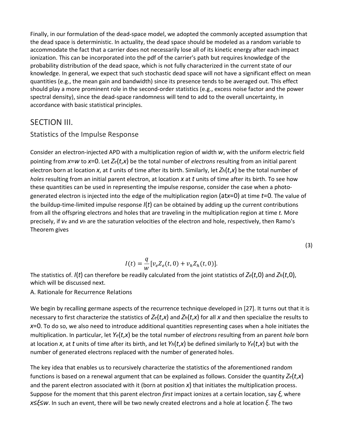Finally, in our formulation of the dead-space model, we adopted the commonly accepted assumption that the dead space is deterministic. In actuality, the dead space should be modeled as a random variable to accommodate the fact that a carrier does not necessarily lose all of its kinetic energy after each impact ionization. This can be incorporated into the pdf of the carrier's path but requires knowledge of the probability distribution of the dead space, which is not fully characterized in the current state of our knowledge. In general, we expect that such stochastic dead space will not have a significant effect on mean quantities (e.g., the mean gain and bandwidth) since its presence tends to be averaged out. This effect should play a more prominent role in the second-order statistics (e.g., excess noise factor and the power spectral density), since the dead-space randomness will tend to add to the overall uncertainty, in accordance with basic statistical principles.

## SECTION III.

#### Statistics of the Impulse Response

Consider an electron-injected APD with a multiplication region of width *w*, with the uniform electric field pointing from *x*=*w* to *x*=0. Let *Ze*(*t*,*x*) be the total number of *electrons* resulting from an initial parent electron born at location *x*, at *t* units of time after its birth. Similarly, let *Zh*(*t*,*x*) be the total number of *holes* resulting from an initial parent electron, at location *x* at *t* units of time after its birth. To see how these quantities can be used in representing the impulse response, consider the case when a photogenerated electron is injected into the edge of the multiplication region (at*x*=0) at time *t*=0. The value of the buildup-time-limited impulse response *I*(*t*) can be obtained by adding up the current contributions from all the offspring electrons and holes that are traveling in the multiplication region at time *t.* More precisely, if *ve* and *vh* are the saturation velocities of the electron and hole, respectively, then Ramo's Theorem gives

(3)

$$
I(t) = \frac{q}{w} [v_e Z_e(t, 0) + v_h Z_h(t, 0)].
$$

The statistics of. *I*(*t*) can therefore be readily calculated from the joint statistics of *Ze*(*t*,0) and *Zh*(*t*,0), which will be discussed next.

A. Rationale for Recurrence Relations

We begin by recalling germane aspects of the recurrence technique developed in [27]. It turns out that it is necessary to first characterize the statistics of  $Z_e(t,x)$  and  $Z_h(t,x)$  for all x and then specialize the results to *x*=0. To do so, we also need to introduce additional quantities representing cases when a hole initiates the multiplication. In particular, let *Ye*(*t*,*x*) be the total number of *electrons* resulting from an parent *hole* born at location *x*, at *t* units of time after its birth, and let *Yh*(*t*,*x*) be defined similarly to *Ye*(*t*,*x*) but with the number of generated electrons replaced with the number of generated holes.

The key idea that enables us to recursively characterize the statistics of the aforementioned random functions is based on a renewal argument that can be explained as follows. Consider the quantity *Ze*(*t*,*x*) and the parent electron associated with it (born at position *x*) that initiates the multiplication process. Suppose for the moment that this parent electron *first* impact ionizes at a certain location, say *ξ*, where *x*≤*ξ*≤*w*. In such an event, there will be two newly created electrons and a hole at location *ξ*. The two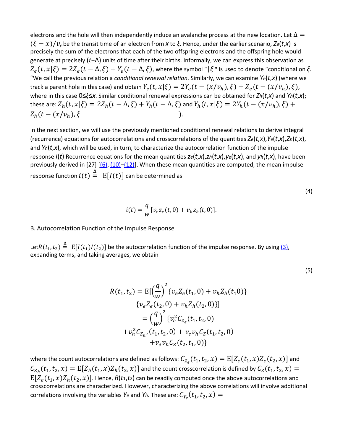electrons and the hole will then independently induce an avalanche process at the new location. Let  $\Delta =$  $(\xi - x)/v_e$  be the transit time of an electron from *x* to  $\xi$ . Hence, under the earlier scenario,  $Ze(t, x)$  is precisely the sum of the electrons that each of the two offspring electrons and the offspring hole would generate at precisely (*t*−Δ) units of time after their births. Informally, we can express this observation as  $Z_e(t, x|\xi) = 2Z_e(t - \Delta, \xi) + Y_e(t - \Delta, \xi)$ , where the symbol "| $\xi$ " is used to denote "conditional on  $\xi$ . "We call the previous relation a *conditional renewal relation.* Similarly, we can examine *Ye*(*t*,*x*) (where we track a parent hole in this case) and obtain  $Y_e(t, x | \xi) = 2Y_e(t - (x/v_h), \xi) + Z_e(t - (x/v_h), \xi)$ , where in this case 0≤*ξ*≤*x*. Similar conditional renewal expressions can be obtained for *Zh*(*t*,*x*) and *Yh*(*t*,*x*); these are:  $Z_h(t, x | \xi) = 2Z_h(t - \Delta, \xi) + Y_h(t - \Delta, \xi)$  and  $Y_h(t, x | \xi) = 2Y_h(t - (x/v_h), \xi) +$  $Z_h(t - (x/v_h), \xi)$ .

In the next section, we will use the previously mentioned conditional renewal relations to derive integral (recurrence) equations for autocorrelations and crosscorrelations of the quantities *Ze*(*t*,*x*),*Ye*(*t*,*x*),*Zh*(*t*,*x*), and *Yh*(*t*,*x*), which will be used, in turn, to characterize the autocorrelation function of the impulse response *I*(*t*) Recurrence equations for the mean quantities *ze*(*t*,*x*),*zh*(*t*,*x*),*ye*(*t*,*x*), and *yh*(*t*,*x*), have been previously derived in [27]  $(6)$ ,  $(10)$ - $(12)$ ]. When these mean quantities are computed, the mean impulse response function  $i(t) \triangleq E[I(t)]$  can be determined as

$$
i(t) = \frac{q}{w} [v_e z_e(t, 0) + v_h z_h(t, 0)].
$$

B. Autocorrelation Function of the Impulse Response

Let $R(t_1,t_2) \stackrel{\Delta}{=} E[I(t_1)I(t_2)]$  be the autocorrelation function of the impulse response. By using [\(3\),](https://ieeexplore.ieee.org/document/#deqn3) expanding terms, and taking averages, we obtain

$$
R(t_1, t_2) = \mathbb{E}[(\frac{q}{w})^2 \{v_e Z_e(t_1, 0) + v_h Z_h(t_1 0)\}\
$$

$$
\{v_e Z_e(t_2, 0) + v_h Z_h(t_2, 0)\}]
$$

$$
= (\frac{q}{w})^2 \{v_e^2 C_{Z_e}(t_1, t_2, 0)\}
$$

$$
+ v_h^2 C_{Z_h}, (t_1, t_2, 0) + v_e v_h C_Z(t_1, t_2, 0)
$$

$$
+ v_e v_h C_Z(t_2, t_1, 0)\}
$$

where the count autocorrelations are defined as follows:  $C_{Z_{\rho}}(t_1, t_2, x) = E[Z_{\rho}(t_1, x)Z_{\rho}(t_2, x)]$  and  $C_{Z_h}(t_1,t_2,x) = E[Z_h(t_1,x)Z_h(t_2,x)]$  and the count crosscorrelation is defined by  $C_Z(t_1,t_2,x)$  =  $E[Z_e(t_1, x)Z_h(t_2, x)]$ . Hence,  $R(t_1, t_2)$  can be readily computed once the above autocorrelations and crosscorrelations are characterized. However, characterizing the above correlations will involve additional correlations involving the variables  $\gamma_e$  and  $\gamma_h$ . These are:  $\mathcal{C}_{\gamma_e}(t_1,t_2,x) =$ 

(5)

(4)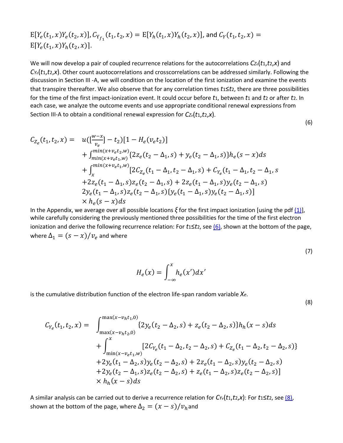$E[Y_e(t_1, x)Y_e(t_2, x)]$ ,  $C_{Y_{f_1}}(t_1, t_2, x) = E[Y_h(t_1, x)Y_h(t_2, x)]$ , and  $C_Y(t_1, t_2, x) =$  $E[Y_e(t_1, x)Y_h(t_2, x)].$ 

We will now develop a pair of coupled recurrence relations for the autocorrelations *CZe*(*t*1,*t*2,*x*) and *CYe*(*t*1,*t*2,*x*). Other count auotocorrelations and crosscorrelations can be addressed similarly. Following the discussion in Section III -A, we will condition on the location of the first ionization and examine the events that transpire thereafter. We also observe that for any correlation times *t*1≤*t*2, there are three possibilities for the time of the first impact-ionization event. It could occur before *t*1, between *t*1 and *t*2 or after *t*2. In each case, we analyze the outcome events and use appropriate conditional renewal expressions from Section III-A to obtain a conditional renewal expression for *CZe*(*t*1,*t*2,*x*).

$$
C_{Z_e}(t_1, t_2, x) = u([\frac{w-x}{v_e}] - t_2)[1 - H_e(v_e t_2)]
$$
  
+ 
$$
\int_{min(x + v_e t_1, w)}^{min(x + v_e t_2, w)} \{2z_e(t_2 - \Delta_1, s) + y_e(t_2 - \Delta_1, s)\}h_e(s - x)ds
$$
  
+ 
$$
\int_{x}^{min(x + v_e t_1, w)} [2C_{Z_e}(t_1 - \Delta_1, t_2 - \Delta_1, s) + C_{Y_e}(t_1 - \Delta_1, t_2 - \Delta_1, s)
$$
  
+ 
$$
2z_e(t_1 - \Delta_1, s)z_e(t_2 - \Delta_1, s) + 2z_e(t_1 - \Delta_1, s)y_e(t_2 - \Delta_1, s)
$$
  

$$
2y_e(t_1 - \Delta_1, s)z_e(t_2 - \Delta_1, s)\{y_e(t_1 - \Delta_1, s)y_e(t_2 - \Delta_1, s)\}\times h_e(s - x)ds
$$

In the Appendix, we average over all possible locations *ξ* for the first impact ionization [using the pd[f \(1\)\]](https://ieeexplore.ieee.org/document/#deqn1), while carefully considering the previously mentioned three possibilities for the time of the first electron ionization and derive the following recurrence relation: For *t*1≤*t*2, see [\(6\),](https://ieeexplore.ieee.org/document/#deqn6) shown at the bottom of the page, where  $\Delta_1 = (s - x)/v_e$  and where

$$
(7)
$$

(6)

$$
H_e(x) = \int_{-\infty}^x h_e(x') dx'
$$

is the cumulative distribution function of the electron life-span random variable *Xe*.

(8)

$$
C_{Y_e}(t_1, t_2, x) = \int_{\max(x-v_h t_1, 0)}^{\max(x-v_h t_1, 0)} \{2y_e(t_2 - \Delta_2, s) + z_e(t_2 - \Delta_2, s)\}h_h(x - s)ds
$$
  
+ 
$$
\int_{\min(x-v_e t_1, w)}^x [2C_{Y_e}(t_1 - \Delta_2, t_2 - \Delta_2, s) + C_{Z_e}(t_1 - \Delta_2, t_2 - \Delta_2, s)]
$$
  
+ 
$$
2y_e(t_1 - \Delta_2, s)y_e(t_2 - \Delta_2, s) + 2z_e(t_1 - \Delta_2, s)y_e(t_2 - \Delta_2, s)
$$
  
+ 
$$
2y_e(t_2 - \Delta_1, s)z_e(t_2 - \Delta_2, s) + z_e(t_1 - \Delta_2, s)z_e(t_2 - \Delta_2, s)]
$$
  
× 
$$
h_h(x - s)ds
$$

A similar analysis can be carried out to derive a recurrence relation for *CYe*(*t*1,*t*2,*x*): For *t*1≤*t*2, see [\(8\),](https://ieeexplore.ieee.org/document/#deqn8) shown at the bottom of the page, where  $\Delta_2 = (x - s)/v_h$  and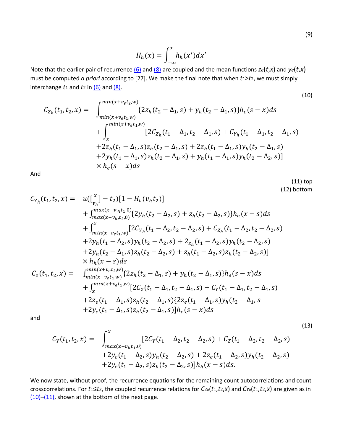$$
H_h(x) = \int_{-\infty}^x h_h(x') dx'
$$

−∞ Note that the earlier pair of recurrence [\(6\)](https://ieeexplore.ieee.org/document/#deqn6) and [\(8\)](https://ieeexplore.ieee.org/document/#deqn8) are coupled and the mean functions *ze*(*t*,*x*) and *ye*(*t*,*x*) must be computed *a priori* according to [27]. We make the final note that when *t*1>*t*2, we must simply interchange  $t_1$  and  $t_2$  in  $(6)$  and  $(8)$ .

$$
C_{Z_h}(t_1, t_2, x) = \int_{min(x + v_e t_2, w)}^{min(x + v_e t_2, w)} \{2z_h(t_2 - \Delta_1, s) + y_h(t_2 - \Delta_1, s)\}h_e(s - x)ds
$$
  
+ 
$$
\int_{x}^{min(x + v_e t_1, w)} [2C_{Z_h}(t_1 - \Delta_1, t_2 - \Delta_1, s) + C_{Y_h}(t_1 - \Delta_1, t_2 - \Delta_1, s) + 2z_h(t_1 - \Delta_1, s)z_h(t_2 - \Delta_1, s) + 2y_h(t_1 - \Delta_1, s)z_h(t_2 - \Delta_1, s) + y_h(t_1 - \Delta_1, s)y_h(t_2 - \Delta_2, s)]
$$
  
× 
$$
h_e(s - x)ds
$$
 (10)

And

(11) top (12) bottom

(13)

$$
C_{Y_h}(t_1, t_2, x) = u([\frac{x}{v_h}] - t_2)[1 - H_h(v_h t_2)]
$$
  
+ 
$$
\int_{max(x-v_h, t_2, 0)}^{max(x-v_h, t_1, 0)} \{2y_h(t_2 - \Delta_2, s) + z_h(t_2 - \Delta_2, s)\}h_h(x - s)ds
$$
  
+ 
$$
\int_{min(x-v_e t_1, w)}^{x} [2C_{Y_h}(t_1 - \Delta_2, t_2 - \Delta_2, s) + C_{Z_h}(t_1 - \Delta_2, t_2 - \Delta_2, s)
$$
  
+ 
$$
2y_h(t_1 - \Delta_2, s)y_h(t_2 - \Delta_2, s) + 2_{Z_h}(t_1 - \Delta_2, s)y_h(t_2 - \Delta_2, s)
$$
  
+ 
$$
2y_h(t_2 - \Delta_1, s)z_h(t_2 - \Delta_2, s) + z_h(t_1 - \Delta_2, s)z_h(t_2 - \Delta_2, s)]
$$
  
× 
$$
h_h(x - s)ds
$$
  

$$
C_Z(t_1, t_2, x) = \int_{min(x+v_e t_1, w)}^{min(x+v_e t_2, w)} \{2z_h(t_2 - \Delta_1, s) + y_h(t_2 - \Delta_1, s)\}h_e(s - x)ds
$$
  
+ 
$$
\int_{x}^{\min(x+v_e t_1, w)} [2C_Z(t_1 - \Delta_1, t_2 - \Delta_1, s) + C_Y(t_1 - \Delta_1, t_2 - \Delta_1, s)
$$
  
+ 
$$
2z_e(t_1 - \Delta_1, s)z_h(t_2 - \Delta_1, s)[2z_e(t_1 - \Delta_1, s)y_h(t_2 - \Delta_1, s)
$$
  
+ 
$$
2y_e(t_1 - \Delta_1, s)z_h(t_2 - \Delta_1, s)]h_e(s - x)ds
$$

and

$$
C_Y(t_1, t_2, x) = \int_{max(x-v_h t_1, 0)}^{x} [2C_Y(t_1 - \Delta_2, t_2 - \Delta_2, s) + C_Z(t_1 - \Delta_2, t_2 - \Delta_2, s) + 2y_e(t_1 - \Delta_2, s)y_h(t_2 - \Delta_2, s) + 2z_e(t_1 - \Delta_2, s)y_h(t_2 - \Delta_2, s) + 2y_e(t_1 - \Delta_2, s)z_h(t_2 - \Delta_2, s)]h_h(x - s)ds.
$$

We now state, without proof, the recurrence equations for the remaining count autocorrelations and count crosscorrelations. For *t*1≤*t*2, the coupled recurrence relations for *CZh*(*t*1,*t*2,*x*) and *CYh*(*t*1,*t*2,*x*) are given as in  $(10)$ – $(11)$ , shown at the bottom of the next page.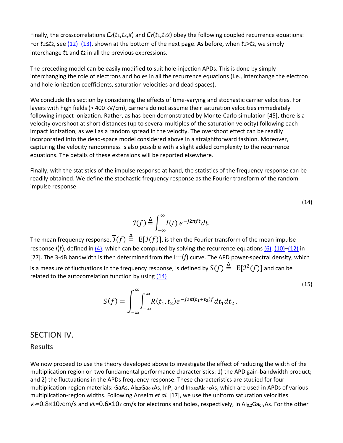Finally, the crosscorrelations *CZ*(*t*1,*t*2,*x*) and *CY*(*t*1,*t*2*x*) obey the following coupled recurrence equations: For *t*1≤*t*2, see [\(12\)](https://ieeexplore.ieee.org/document/#deqn11-12)[–\(13\),](https://ieeexplore.ieee.org/document/#deqn13) shown at the bottom of the next page. As before, when *t*1>*t*2, we simply interchange *t*1 and *t*2 in all the previous expressions.

The preceding model can be easily modified to suit hole-injection APDs. This is done by simply interchanging the role of electrons and holes in all the recurrence equations (i.e., interchange the electron and hole ionization coefficients, saturation velocities and dead spaces).

We conclude this section by considering the effects of time-varying and stochastic carrier velocities. For layers with high fields (> 400 kV/cm), carriers do not assume their saturation velocities immediately following impact ionization. Rather, as has been demonstrated by Monte-Carlo simulation [45], there is a velocity overshoot at short distances (up to several multiples of the saturation velocity) following each impact ionization, as well as a random spread in the velocity. The overshoot effect can be readily incorporated into the dead-space model considered above in a straightforward fashion. Moreover, capturing the velocity randomness is also possible with a slight added complexity to the recurrence equations. The details of these extensions will be reported elsewhere.

Finally, with the statistics of the impulse response at hand, the statistics of the frequency response can be readily obtained. We define the stochastic frequency response as the Fourier transform of the random impulse response

$$
\mathcal{I}(f) \stackrel{\Delta}{=} \int_{-\infty}^{\infty} I(t) e^{-j2\pi ft} dt.
$$

(14)

(15)

The mean frequency response,  $\overline{\jmath}(f) \stackrel{\Delta}{=} \ \mathrm{E}[\jmath(f)]$ , is then the Fourier transform of the mean impulse response  $i(t)$ , defined in  $(4)$ , which can be computed by solving the recurrence equations  $(6)$ ,  $(10)$ – $(12)$  in [27]. The 3-dB bandwidth is then determined from the  $I^{--}(f)$  curve. The APD power-spectral density, which is a measure of fluctuations in the frequency response, is defined by  $S(f) \stackrel{\Delta}{=} \ E[\mathcal{I}^2(f)]$  and can be related to the autocorrelation function by using [\(14\)](https://ieeexplore.ieee.org/document/#deqn14)

$$
S(f) = \int_{-\infty}^{\infty} \int_{-\infty}^{\infty} R(t_1, t_2) e^{-j2\pi(t_1 + t_2)f} dt_1 dt_2.
$$

#### SECTION IV.

Results

We now proceed to use the theory developed above to investigate the effect of reducing the width of the multiplication region on two fundamental performance characteristics: 1) the APD gain-bandwidth product; and 2) the fluctuations in the APDs frequency response. These characteristics are studied for four multiplication-region materials: GaAs,  $Al_{0.2}Ga_{0.8}As$ , InP, and In<sub>0.52</sub>Al<sub>0.48</sub>As, which are used in APDs of various multiplication-region widths. Following Anselm *et al.* [17], we use the uniform saturation velocities *ve*=0.8×107cm/s and *vh*=0.6×107 cm/s for electrons and holes, respectively, in Al<sub>0.2</sub>Ga<sub>0.8</sub>As. For the other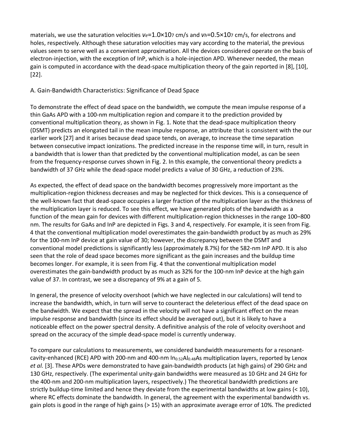materials, we use the saturation velocities *ve*=1.0×107 cm/s and *vh*=0.5×107 cm/s, for electrons and holes, respectively. Although these saturation velocities may vary according to the material, the previous values seem to serve well as a convenient approximation. All the devices considered operate on the basis of electron-injection, with the exception of InP, which is a hole-injection APD. Whenever needed, the mean gain is computed in accordance with the dead-space multiplication theory of the gain reported in [8], [10], [22].

#### A. Gain-Bandwidth Characteristics: Significance of Dead Space

To demonstrate the effect of dead space on the bandwidth, we compute the mean impulse response of a thin GaAs APD with a 100-nm multiplication region and compare it to the prediction provided by conventional multiplication theory, as shown in Fig. 1. Note that the dead-space multiplication theory (DSMT) predicts an elongated tail in the mean impulse response, an attribute that is consistent with the our earlier work [27] and it arises because dead space tends, on average, to increase the time separation between consecutive impact ionizations. The predicted increase in the response time will, in turn, result in a bandwidth that is lower than that predicted by the conventional multiplication model, as can be seen from the frequency-response curves shown in Fig. 2. In this example, the conventional theory predicts a bandwidth of 37 GHz while the dead-space model predicts a value of 30 GHz, a reduction of 23%.

As expected, the effect of dead space on the bandwidth becomes progressively more important as the multiplication-region thickness decreases and may be neglected for thick devices. This is a consequence of the well-known fact that dead-space occupies a larger fraction of the multiplication layer as the thickness of the multiplication layer is reduced. To see this effect, we have generated plots of the bandwidth as a function of the mean gain for devices with different multiplication-region thicknesses in the range 100–800 nm. The results for GaAs and InP are depicted in Figs. 3 and 4, respectively. For example, it is seen from Fig. 4 that the conventional multiplication model overestimates the gain-bandwidth product by as much as 29% for the 100-nm InP device at gain value of 30; however, the discrepancy between the DSMT and conventional model predictions is significantly less (approximately 8.7%) for the 582-nm InP APD. It is also seen that the role of dead space becomes more significant as the gain increases and the buildup time becomes longer. For example, it is seen from Fig. 4 that the conventional multiplication model overestimates the gain-bandwidth product by as much as 32% for the 100-nm InP device at the high gain value of 37. In contrast, we see a discrepancy of 9% at a gain of 5.

In general, the presence of velocity overshoot (which we have neglected in our calculations) will tend to increase the bandwidth, which, in turn will serve to counteract the deleterious effect of the dead space on the bandwidth. We expect that the spread in the velocity will not have a significant effect on the mean impulse response and bandwidth (since its effect should be averaged out), but it is likely to have a noticeable effect on the power spectral density. A definitive analysis of the role of velocity overshoot and spread on the accuracy of the simple dead-space model is currently underway.

To compare our calculations to measurements, we considered bandwidth measurements for a resonantcavity-enhanced (RCE) APD with 200-nm and 400-nm  $In_{0.52}Al_{0.48}As$  multiplication layers, reported by Lenox *et al.* [3]. These APDs were demonstrated to have gain-bandwidth products (at high gains) of 290 GHz and 130 GHz, respectively. (The experimental unity-gain bandwidths were measured as 10 GHz and 24 GHz for the 400-nm and 200-nm multiplication layers, respectively.) The theoretical bandwidth predictions are strictly buildup-time limited and hence they deviate from the experimental bandwidths at low gains (< 10), where RC effects dominate the bandwidth. In general, the agreement with the experimental bandwidth vs. gain plots is good in the range of high gains (> 15) with an approximate average error of 10%. The predicted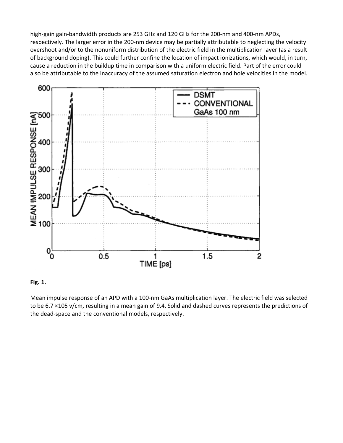high-gain gain-bandwidth products are 253 GHz and 120 GHz for the 200-nm and 400-nm APDs, respectively. The larger error in the 200-nm device may be partially attributable to neglecting the velocity overshoot and/or to the nonuniform distribution of the electric field in the multiplication layer (as a result of background doping). This could further confine the location of impact ionizations, which would, in turn, cause a reduction in the buildup time in comparison with a uniform electric field. Part of the error could also be attributable to the inaccuracy of the assumed saturation electron and hole velocities in the model.



**Fig. 1.** 

Mean impulse response of an APD with a 100-nm GaAs multiplication layer. The electric field was selected to be 6.7 ×105 v/cm, resulting in a mean gain of 9.4. Solid and dashed curves represents the predictions of the dead-space and the conventional models, respectively.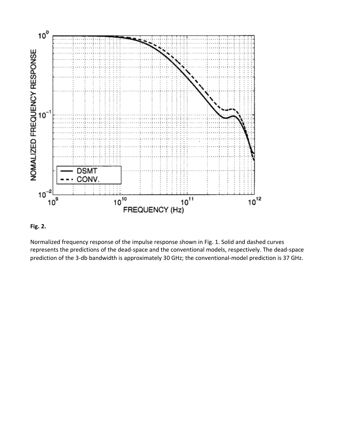

#### **Fig. 2.**

Normalized frequency response of the impulse response shown in Fig. 1. Solid and dashed curves represents the predictions of the dead-space and the conventional models, respectively. The dead-space prediction of the 3-db bandwidth is approximately 30 GHz; the conventional-model prediction is 37 GHz.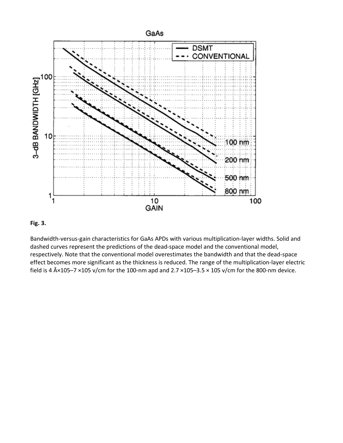

#### **Fig. 3.**

Bandwidth-versus-gain characteristics for GaAs APDs with various multiplication-layer widths. Solid and dashed curves represent the predictions of the dead-space model and the conventional model, respectively. Note that the conventional model overestimates the bandwidth and that the dead-space effect becomes more significant as the thickness is reduced. The range of the multiplication-layer electric field is 4  $\hat{A} \times 105 - 7 \times 105$  v/cm for the 100-nm apd and 2.7  $\times 105 - 3.5 \times 105$  v/cm for the 800-nm device.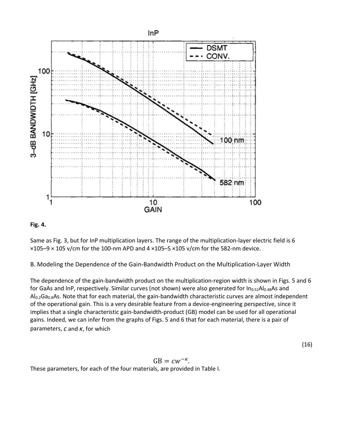

#### **Fig. 4.**

Same as Fig. 3, but for InP multiplication layers. The range of the multiplication-layer electric field is 6  $\times$ 105–9  $\times$  105 v/cm for the 100-nm APD and 4  $\times$ 105–5  $\times$ 105 v/cm for the 582-nm device.

B. Modeling the Dependence of the Gain-Bandwidth Product on the Multiplication-Layer Width

The dependence of the gain-bandwidth product on the multiplication-region width is shown in Figs. 5 and 6 for GaAs and InP, respectively. Similar curves (not shown) were also generated for In<sub>0.52</sub>Al<sub>0.48</sub>As and Al<sub>0.2</sub>Ga<sub>0.8</sub>As. Note that for each material, the gain-bandwidth characteristic curves are almost independent of the operational gain. This is a very desirable feature from a device-engineering perspective, since it implies that a single characteristic gain-bandwidth-product (GB) model can be used for all operational gains. Indeed, we can infer from the graphs of Figs. 5 and 6 that for each material, there is a pair of parameters, *c* and *κ*, for which

(16)

GB =  $cw^{-\kappa}$ .<br>These parameters, for each of the four materials, are provided in Table I.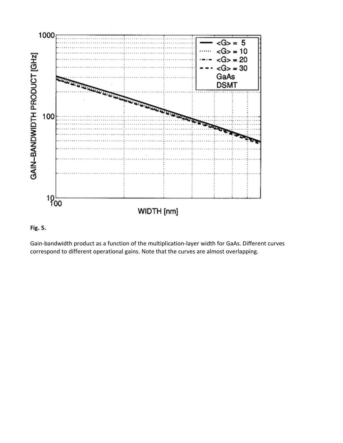

#### **Fig. 5.**

Gain-bandwidth product as a function of the multiplication-layer width for GaAs. Different curves correspond to different operational gains. Note that the curves are almost overlapping.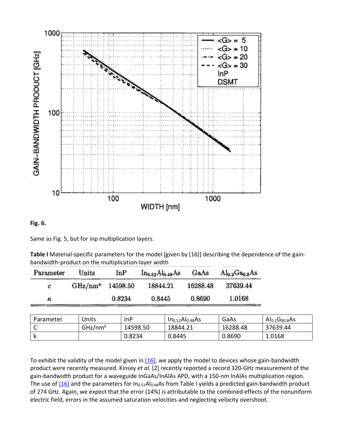

#### **Fig. 6.**

Same as Fig. 5, but for inp multiplication layers.

| Table I Material-specific parameters for the model [given by (16)] describing the dependence of the gain- |
|-----------------------------------------------------------------------------------------------------------|
| bandwidth-product on the multiplication-layer width                                                       |

| Parameter   | Units               | ${\rm In}{\rm P}$<br>14598.50 |        | $\rm In_{0.52}Al_{0.48}As$<br>18844.21 |          | GaAs<br>16288.48                         | $\mathrm{Al}_{0.2}\mathrm{Ga}_{0.8}\mathrm{As}$<br>37639.44 |                      |
|-------------|---------------------|-------------------------------|--------|----------------------------------------|----------|------------------------------------------|-------------------------------------------------------------|----------------------|
| с           | $GHz/nm^{\kappa}$   |                               |        |                                        |          |                                          |                                                             |                      |
| $\kappa$    |                     | 0.8234                        |        | 0.8445                                 |          | 0.8690                                   | 1.0168                                                      |                      |
| Parameter   | <b>Units</b>        |                               | InP    |                                        |          |                                          | GaAs                                                        |                      |
|             |                     |                               |        |                                        |          | In <sub>0.52</sub> Al <sub>0.48</sub> As |                                                             | $Al_{0.2}G_{80.8}As$ |
| C           | GHz/nm <sup>k</sup> |                               |        | 14598.50                               | 18844.21 |                                          | 16288.48                                                    | 37639.44             |
| $\mathsf k$ |                     |                               | 0.8234 |                                        | 0.8445   |                                          | 0.8690                                                      | 1.0168               |

To exhibit the validity of the model given in  $(16)$ , we apply the model to devices whose gain-bandwidth product were recently measured. Kinsey *et al.* [2] recently reported a record 320-GHz measurement of the gain-bandwidth product for a waveguide InGaAs/InAlAs APD, with a 150-nm InAlAs multiplication region. The use of  $(16)$  and the parameters for In<sub>0.52</sub>Al<sub>0.48</sub>As from Table I yields a predicted gain-bandwidth product of 274 GHz. Again, we expect that the error (14%) is attributable to the combined effects of the nonuniform electric field, errors in the assumed saturation velocities and neglecting velocity overshoot.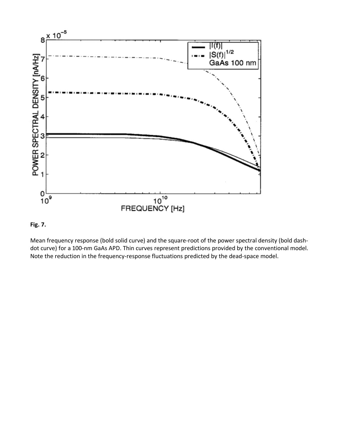

#### **Fig. 7.**

Mean frequency response (bold solid curve) and the square-root of the power spectral density (bold dashdot curve) for a 100-nm GaAs APD. Thin curves represent predictions provided by the conventional model. Note the reduction in the frequency-response fluctuations predicted by the dead-space model.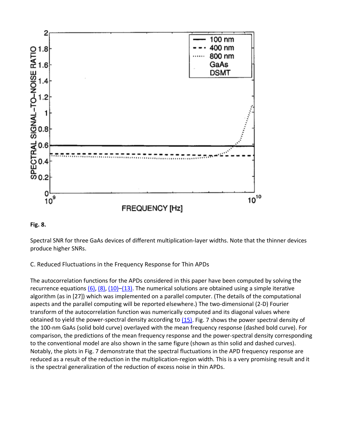

#### **Fig. 8.**

Spectral SNR for three GaAs devices of different multiplication-layer widths. Note that the thinner devices produce higher SNRs.

#### C. Reduced Fluctuations in the Frequency Response for Thin APDs

The autocorrelation functions for the APDs considered in this paper have been computed by solving the recurrence equations  $(6)$ ,  $(8)$ ,  $(10)$ – $(13)$ . The numerical solutions are obtained using a simple iterative algorithm (as in [27]) which was implemented on a parallel computer. (The details of the computational aspects and the parallel computing will be reported elsewhere.) The two-dimensional (2-D) Fourier transform of the autocorrelation function was numerically computed and its diagonal values where obtained to yield the power-spectral density according to [\(15\).](https://ieeexplore.ieee.org/document/#deqn15) Fig. 7 shows the power spectral density of the 100-nm GaAs (solid bold curve) overlayed with the mean frequency response (dashed bold curve). For comparison, the predictions of the mean frequency response and the power-spectral density corresponding to the conventional model are also shown in the same figure (shown as thin solid and dashed curves). Notably, the plots in Fig. 7 demonstrate that the spectral fluctuations in the APD frequency response are reduced as a result of the reduction in the multiplication-region width. This is a very promising result and it is the spectral generalization of the reduction of excess noise in thin APDs.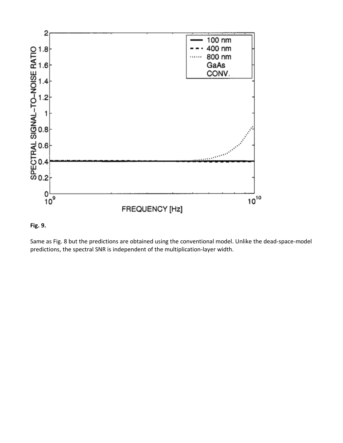



Same as Fig. 8 but the predictions are obtained using the conventional model. Unlike the dead-space-model predictions, the spectral SNR is independent of the multiplication-layer width.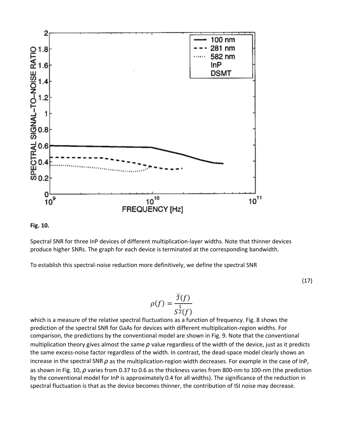

**Fig. 10.** 

Spectral SNR for three InP devices of different multiplication-layer widths. Note that thinner devices produce higher SNRs. The graph for each device is terminated at the corresponding bandwidth.

To establish this spectral-noise reduction more definitively, we define the spectral SNR

(17)

$$
\rho(f) = \frac{\overline{\overline{J}}(f)}{S^{\frac{1}{2}}(f)}
$$

which is a measure of the relative spectral fluctuations as a function of frequency. Fig. 8 shows the prediction of the spectral SNR for GaAs for devices with different multiplication-region widths. For comparison, the predictions by the conventional model are shown in Fig. 9. Note that the conventional multiplication theory gives almost the same *ρ* value regardless of the width of the device, just as it predicts the same excess-noise factor regardless of the width. In contrast, the dead-space model clearly shows an increase in the spectral SNR *ρ* as the multiplication-region width decreases. For example in the case of InP, as shown in Fig. 10, *ρ* varies from 0.37 to 0.6 as the thickness varies from 800-nm to 100-nm (the prediction by the conventional model for InP is approximately 0.4 for all widths). The significance of the reduction in spectral fluctuation is that as the device becomes thinner, the contribution of ISI noise may decrease.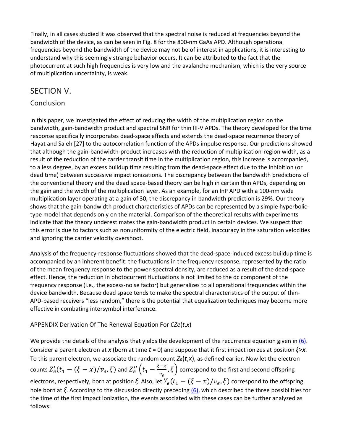Finally, in all cases studied it was observed that the spectral noise is reduced at frequencies beyond the bandwidth of the device, as can be seen in Fig. 8 for the 800-nm GaAs APD. Although operational frequencies beyond the bandwidth of the device may not be of interest in applications, it is interesting to understand why this seemingly strange behavior occurs. It can be attributed to the fact that the photocurrent at such high frequencies is very low and the avalanche mechanism, which is the very source of multiplication uncertainty, is weak.

# SECTION V.

# Conclusion

In this paper, we investigated the effect of reducing the width of the multiplication region on the bandwidth, gain-bandwidth product and spectral SNR for thin III-V APDs. The theory developed for the time response specifically incorporates dead-space effects and extends the dead-space recurrence theory of Hayat and Saleh [27] to the autocorrelation function of the APDs impulse response. Our predictions showed that although the gain-bandwidth-product increases with the reduction of multiplication-region width, as a result of the reduction of the carrier transit time in the multiplication region, this increase is accompanied, to a less degree, by an excess buildup time resulting from the dead-space effect due to the inhibition (or dead time) between successive impact ionizations. The discrepancy between the bandwidth predictions of the conventional theory and the dead space-based theory can be high in certain thin APDs, depending on the gain and the width of the multiplication layer. As an example, for an InP APD with a 100-nm wide multiplication layer operating at a gain of 30, the discrepancy in bandwidth prediction is 29%. Our theory shows that the gain-bandwidth product characteristics of APDs can be represented by a simple hyperbolictype model that depends only on the material. Comparison of the theoretical results with experiments indicate that the theory underestimates the gain-bandwidth product in certain devices. We suspect that this error is due to factors such as nonuniformity of the electric field, inaccuracy in the saturation velocities and ignoring the carrier velocity overshoot.

Analysis of the frequency-response fluctuations showed that the dead-space-induced excess buildup time is accompanied by an inherent benefit: the fluctuations in the frequency response, represented by the ratio of the mean frequency response to the power-spectral density, are reduced as a result of the dead-space effect. Hence, the reduction in photocurrent fluctuations is not limited to the dc component of the frequency response (i.e., the excess-noise factor) but generalizes to all operational frequencies within the device bandwidth. Because dead space tends to make the spectral characteristics of the output of thin-APD-based receivers "less random," there is the potential that equalization techniques may become more effective in combating intersymbol interference.

### APPENDIX Derivation Of The Renewal Equation For *CZe*(*t*,*x*)

We provide the details of the analysis that yields the development of the recurrence equation given in  $6$ . Consider a parent electron at *x* (born at time *t* = 0) and suppose that it first impact ionizes at position *ξ*>*x*. To this parent electron, we associate the random count *Ze*(*t*,*x*), as defined earlier. Now let the electron counts  $Z'_e(t_1-(\xi-x)/v_e,\xi)$  and  $Z''_e\left(t_1-\frac{\xi-x}{v_e},\xi\right)$  correspond to the first and second offspring electrons, respectively, born at position *ξ*. Also, let  $Y_e(t_1 - (\xi - x)/v_e, \xi)$  correspond to the offspring hole born at *ξ*. According to the discussion directly preceding [\(6\),](https://ieeexplore.ieee.org/document/#deqn6) which described the three possibilities for the time of the first impact ionization, the events associated with these cases can be further analyzed as follows: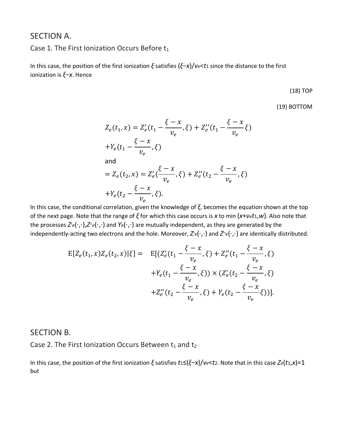## SECTION A.

Case 1. The First Ionization Occurs Before  $t_1$ 

In this case, the position of the first ionization *ξ* satisfies (*ξ*−*x*)/*ve*<*t*<sup>1</sup> since the distance to the first ionization is *ξ*−*x*. Hence

(18) TOP

(19) BOTTOM

$$
Z_e(t_1, x) = Z'_e(t_1 - \frac{\xi - x}{v_e}, \xi) + Z''_e(t_1 - \frac{\xi - x}{v_e}, \xi)
$$
  
+
$$
Y_e(t_1 - \frac{\xi - x}{v_e}, \xi)
$$
  
and  

$$
= Z_e(t_2, x) = Z'_e(\frac{\xi - x}{v_e}, \xi) + Z''_e(t_2 - \frac{\xi - x}{v_e}, \xi)
$$

$$
= Z_e(t_2, x) = Z'_e(\frac{v_1}{v_e}, \xi) + Z''_e(t_2 - \frac{v_2}{v_e})
$$
  
+Y\_e(t\_2 - \frac{\xi - x}{v\_e}, \xi).

In this case, the conditional correlation, given the knowledge of *ξ*, becomes the equation shown at the top of the next page. Note that the range of *ξ* for which this case occurs is *x* to min (*x*+*vet*1,*w*). Also note that the processes *Z*′*e*(⋅,⋅),*Z*′′*e*(⋅,⋅) and *Ye*(⋅,⋅) are mutually independent, as they are generated by the independently-acting two electrons and the hole. Moreover, *Z*′*e*(⋅,⋅) and *Z*′′*e*(⋅,⋅) are identically distributed.

$$
E[Z_e(t_1, x)Z_e(t_2, x)|\xi] = E[(Z'_e(t_1 - \frac{\xi - x}{v_e}, \xi) + Z''_e(t_1 - \frac{\xi - x}{v_e}, \xi) + Y_e(t_1 - \frac{\xi - x}{v_e}, \xi)) \times (Z'_e(t_2 - \frac{\xi - x}{v_e}, \xi) + Z''_e(t_2 - \frac{\xi - x}{v_e}, \xi) + Y_e(t_2 - \frac{\xi - x}{v_e}, \xi))].
$$

#### SECTION B.

Case 2. The First Ionization Occurs Between  $t_1$  and  $t_2$ 

In this case, the position of the first ionization *ξ* satisfies *t*1≤(*ξ*−*x*)/*ve*<*t*2. Note that in this case *Ze*(*t*1,*x*)=1 but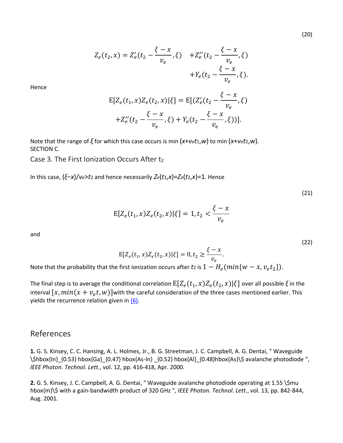$$
Z_e(t_2, x) = Z'_e(t_2 - \frac{\xi - x}{v_e}, \xi) + Z''_e(t_2 - \frac{\xi - x}{v_e}, \xi) + Y_e(t_2 - \frac{\xi - x}{v_e}, \xi).
$$

Hence

$$
E[Z_e(t_1, x)Z_e(t_2, x)|\xi] = E[(Z'_e(t_2 - \frac{\xi - x}{v_e}, \xi)] + Z''_e(t_2 - \frac{\xi - x}{v_e}, \xi)]
$$

Note that the range of *ξ*for which this case occurs is min (*x*+*vet*1,*w*) to min (*x*+*vet*2,*w*). SECTION C.

Case 3. The First Ionization Occurs After  $t_2$ 

In this case, (*ξ*−*x*)/*ve*>*t*<sup>2</sup> and hence necessarily *Ze*(*t*1,*x*)=*Ze*(*t*2,*x*)=1. Hence

$$
\mathbf{E}[Z_e(t_1, x)Z_e(t_2, x)|\xi] = 1, t_2 < \frac{\xi - x}{v_e}
$$

and

$$
E[Z_e(t_1, x)Z_e(t_2, x)|\xi] = 0, t_2 \ge \frac{\xi - x}{v_e}.
$$

Note that the probability that the first ionization occurs after *t*2 is  $1 - H_e(min\{w - x, v_e t_2\}).$ 

The final step is to average the conditional correlation  $E[Z_e(t_1, x)Z_e(t_2, x)|\xi]$  over all possible  $\xi$  in the interval  $[x, min(x + v_e t, w)]$  with the careful consideration of the three cases mentioned earlier. This yields the recurrence relation given in [\(6\).](https://ieeexplore.ieee.org/document/#deqn6)

## References

**1.** G. S. Kinsey, C. C. Hansing, A. L. Holmes, Jr., B. G. Streetman, J. C. Campbell, A. G. Dentai, " Waveguide \\$hbox{In}\_{0.53} hbox{Ga}\_{0.47} hbox{As-In} \_{0.52} hbox{Al}\_{0.48}hbox{As}\\$ avalanche photodiode ", *IEEE Photon. Technol. Lett.*, vol. 12, pp. 416-418, Apr. 2000.

**2.** G. S. Kinsey, J. C. Campbell, A. G. Dentai, "Waveguide avalanche photodiode operating at 1.55 \\$mu hbox{m}\\$ with a gain-bandwidth product of 320 GHz ", *IEEE Photon. Technol. Lett.*, vol. 13, pp. 842-844, Aug. 2001.

(21)

(22)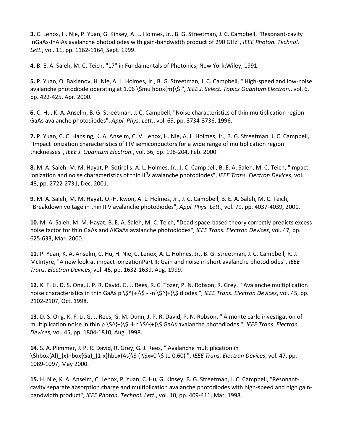**3.** C. Lenox, H. Nie, P. Yuan, G. Kinsey, A. L. Holmes, Jr., B. G. Streetman, J. C. Campbell, "Resonant-cavity InGaAs-InAlAs avalanche photodiodes with gain-bandwidth product of 290 GHz", *IEEE Photon. Technol. Lett.*, vol. 11, pp. 1162-1164, Sept. 1999.

**4.** B. E. A. Saleh, M. C. Teich, "17" in Fundamentals of Photonics, New York:Wiley, 1991.

**5.** P. Yuan, O. Baklenov, H. Nie, A. L. Holmes, Jr., B. G. Streetman, J. C. Campbell, " High-speed and low-noise avalanche photodiode operating at 1.06 \\$mu hbox{m}\\$ ", *IEEE J. Select. Topics Quantum Electron.*, vol. 6, pp. 422-425, Apr. 2000.

**6.** C. Hu, K. A. Anselm, B. G. Streetman, J. C. Campbell, "Noise characteristics of thin multiplication region GaAs avalanche photodiodes", *Appl. Phys. Lett.*, vol. 69, pp. 3734-3736, 1996.

**7.** P. Yuan, C. C. Hansing, K. A. Anselm, C. V. Lenox, H. Nie, A. L. Holmes, Jr., B. G. Streetman, J. C. Campbell, "Impact ionization characteristics of IIIV semiconductors for a wide range of multiplication region thicknesses", *IEEE J. Quantum Electron.*, vol. 36, pp. 198-204, Feb. 2000.

**8.** M. A. Saleh, M. M. Hayat, P. Sotirelis, A. L. Holmes, Jr., J. C. Campbell, B. E. A. Saleh, M. C. Teich, "Impactionization and noise characteristics of thin IIIV avalanche photodiodes", *IEEE Trans. Electron Devices*, vol. 48, pp. 2722-2731, Dec. 2001.

**9.** M. A. Saleh, M. M. Hayat, O.-H. Kwon, A. L. Holmes, Jr., J. C. Campbell, B. E. A. Saleh, M. C. Teich, "Breakdown voltage in thin IIIV avalanche photodiodes", Appl. Phys. Lett., vol. 79, pp. 4037-4039, 2001.

**10.** M. A. Saleh, M. M. Hayat, B. E. A. Saleh, M. C. Teich, "Dead-space-based theory correctly predicts excess noise factor for thin GaAs and AlGaAs avalanche photodiodes", *IEEE Trans. Electron Devices*, vol. 47, pp. 625-633, Mar. 2000.

**11.** P. Yuan, K. A. Anselm, C. Hu, H. Nie, C. Lenox, A. L. Holmes, Jr., B. G. Streetman, J. C. Campbell, R. J. McIntyre, "A new look at impact ionization̵Part II: Gain and noise in short avalanche photodiodes", *IEEE Trans. Electron Devices*, vol. 46, pp. 1632-1639, Aug. 1999.

**12.** K. F. Li, D. S. Ong, J. P. R. David, G. J. Rees, R. C. Tozer, P. N. Robson, R. Grey, " Avalanche multiplication noise characteristics in thin GaAs p \\$^{+}\\$ -i-n \\$^{+}\\$ diodes ", *IEEE Trans. Electron Devices*, vol. 45, pp. 2102-2107, Oct. 1998.

**13.** D. S. Ong, K. F. Li, G. J. Rees, G. M. Dunn, J. P. R. David, P. N. Robson, " A monte carlo investigation of multiplication noise in thin p \\$^{+}\\$ -i-n \\$^{+}\\$ GaAs avalanche photodiodes ", *IEEE Trans. Electron Devices*, vol. 45, pp. 1804-1810, Aug. 1998.

**14.** S. A. Plimmer, J. P. R. David, R. Grey, G. J. Rees, " Avalanche multiplication in \\$hbox{Al}\_{x}hbox{Ga}\_{1-x}hbox{As}\\$ ( \\$x=0 \\$ to 0.60) ", *IEEE Trans. Electron Devices*, vol. 47, pp. 1089-1097, May 2000.

**15.** H. Nie, K. A. Anselm, C. Lenox, P. Yuan, C. Hu, G. Kinsey, B. G. Streetman, J. C. Campbell, "Resonantcavity separate absorption charge and multiplication avalanche photodiodes with high-speed and high gainbandwidth product", *IEEE Photon. Technol. Lett.*, vol. 10, pp. 409-411, Mar. 1998.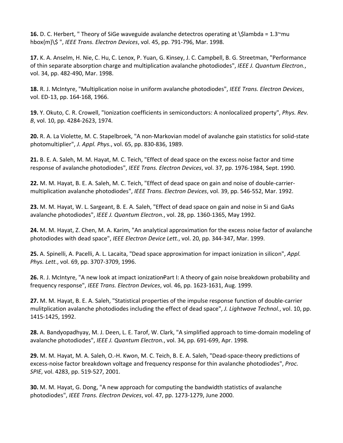16. D. C. Herbert, " Theory of SiGe waveguide avalanche detectros operating at \\$lambda = 1.3~mu hbox{m}\\$ ", *IEEE Trans. Electron Devices*, vol. 45, pp. 791-796, Mar. 1998.

**17.** K. A. Anselm, H. Nie, C. Hu, C. Lenox, P. Yuan, G. Kinsey, J. C. Campbell, B. G. Streetman, "Performance of thin separate absorption charge and multiplication avalanche photodiodes", *IEEE J. Quantum Electron.*, vol. 34, pp. 482-490, Mar. 1998.

**18.** R. J. McIntyre, "Multiplication noise in uniform avalanche photodiodes", *IEEE Trans. Electron Devices*, vol. ED-13, pp. 164-168, 1966.

**19.** Y. Okuto, C. R. Crowell, "Ionization coefficients in semiconductors: A nonlocalized property", *Phys. Rev. B*, vol. 10, pp. 4284-2623, 1974.

**20.** R. A. La Violette, M. C. Stapelbroek, "A non-Markovian model of avalanche gain statistics for solid-state photomultiplier", *J. Appl. Phys.*, vol. 65, pp. 830-836, 1989.

**21.** B. E. A. Saleh, M. M. Hayat, M. C. Teich, "Effect of dead space on the excess noise factor and time response of avalanche photodiodes", *IEEE Trans. Electron Devices*, vol. 37, pp. 1976-1984, Sept. 1990.

**22.** M. M. Hayat, B. E. A. Saleh, M. C. Teich, "Effect of dead space on gain and noise of double-carriermultiplication avalanche photodiodes", *IEEE Trans. Electron Devices*, vol. 39, pp. 546-552, Mar. 1992.

**23.** M. M. Hayat, W. L. Sargeant, B. E. A. Saleh, "Effect of dead space on gain and noise in Si and GaAs avalanche photodiodes", *IEEE J. Quantum Electron.*, vol. 28, pp. 1360-1365, May 1992.

**24.** M. M. Hayat, Z. Chen, M. A. Karim, "An analytical approximation for the excess noise factor of avalanche photodiodes with dead space", *IEEE Electron Device Lett.*, vol. 20, pp. 344-347, Mar. 1999.

**25.** A. Spinelli, A. Pacelli, A. L. Lacaita, "Dead space approximation for impact ionization in silicon", *Appl. Phys. Lett.*, vol. 69, pp. 3707-3709, 1996.

**26.** R. J. McIntyre, "A new look at impact ionization Part I: A theory of gain noise breakdown probability and frequency response", *IEEE Trans. Electron Devices*, vol. 46, pp. 1623-1631, Aug. 1999.

**27.** M. M. Hayat, B. E. A. Saleh, "Statistical properties of the impulse response function of double-carrier mulitplication avalanche photodiodes including the effect of dead space", *J. Lightwave Technol.*, vol. 10, pp. 1415-1425, 1992.

**28.** A. Bandyopadhyay, M. J. Deen, L. E. Tarof, W. Clark, "A simplified approach to time-domain modeling of avalanche photodiodes", *IEEE J. Quantum Electron.*, vol. 34, pp. 691-699, Apr. 1998.

**29.** M. M. Hayat, M. A. Saleh, O.-H. Kwon, M. C. Teich, B. E. A. Saleh, "Dead-space-theory predictions of excess-noise factor breakdown voltage and frequency response for thin avalanche photodiodes", *Proc. SPIE*, vol. 4283, pp. 519-527, 2001.

**30.** M. M. Hayat, G. Dong, "A new approach for computing the bandwidth statistics of avalanche photodiodes", *IEEE Trans. Electron Devices*, vol. 47, pp. 1273-1279, June 2000.